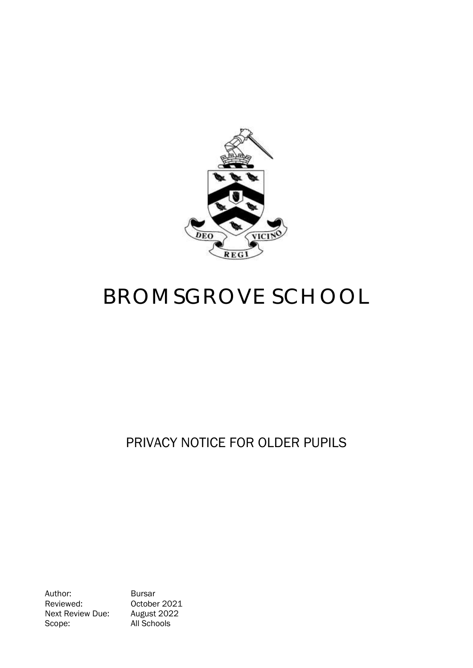

# BROMSGROVE SCHOOL

# PRIVACY NOTICE FOR OLDER PUPILS

Author: Bursar Reviewed: 0ctober 2021<br>Next Review Due: August 2022 Next Review Due: Scope: All Schools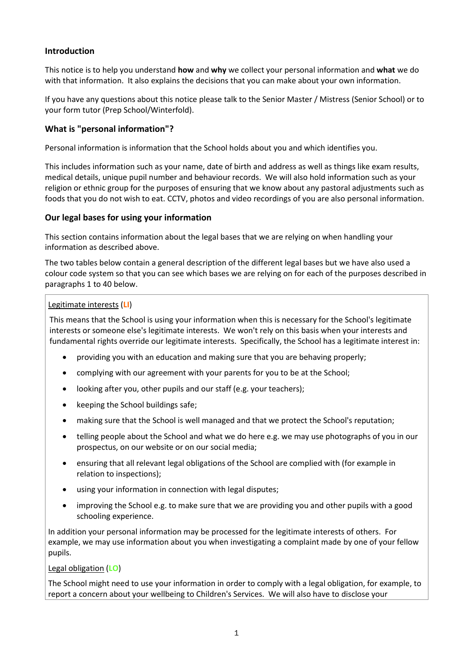# **Introduction**

This notice is to help you understand **how** and **why** we collect your personal information and **what** we do with that information. It also explains the decisions that you can make about your own information.

If you have any questions about this notice please talk to the Senior Master / Mistress (Senior School) or to your form tutor (Prep School/Winterfold).

#### **What is "personal information"?**

Personal information is information that the School holds about you and which identifies you.

This includes information such as your name, date of birth and address as well as things like exam results, medical details, unique pupil number and behaviour records. We will also hold information such as your religion or ethnic group for the purposes of ensuring that we know about any pastoral adjustments such as foods that you do not wish to eat. CCTV, photos and video recordings of you are also personal information.

#### **Our legal bases for using your information**

This section contains information about the legal bases that we are relying on when handling your information as described above.

The two tables below contain a general description of the different legal bases but we have also used a colour code system so that you can see which bases we are relying on for each of the purposes described in paragraphs 1 to 40 below.

#### Legitimate interests (**LI**)

This means that the School is using your information when this is necessary for the School's legitimate interests or someone else's legitimate interests. We won't rely on this basis when your interests and fundamental rights override our legitimate interests. Specifically, the School has a legitimate interest in:

- providing you with an education and making sure that you are behaving properly;
- complying with our agreement with your parents for you to be at the School;
- looking after you, other pupils and our staff (e.g. your teachers);
- keeping the School buildings safe;
- making sure that the School is well managed and that we protect the School's reputation;
- telling people about the School and what we do here e.g. we may use photographs of you in our prospectus, on our website or on our social media;
- ensuring that all relevant legal obligations of the School are complied with (for example in relation to inspections);
- using your information in connection with legal disputes;
- improving the School e.g. to make sure that we are providing you and other pupils with a good schooling experience.

In addition your personal information may be processed for the legitimate interests of others. For example, we may use information about you when investigating a complaint made by one of your fellow pupils.

#### Legal obligation (**LO**)

The School might need to use your information in order to comply with a legal obligation, for example, to report a concern about your wellbeing to Children's Services. We will also have to disclose your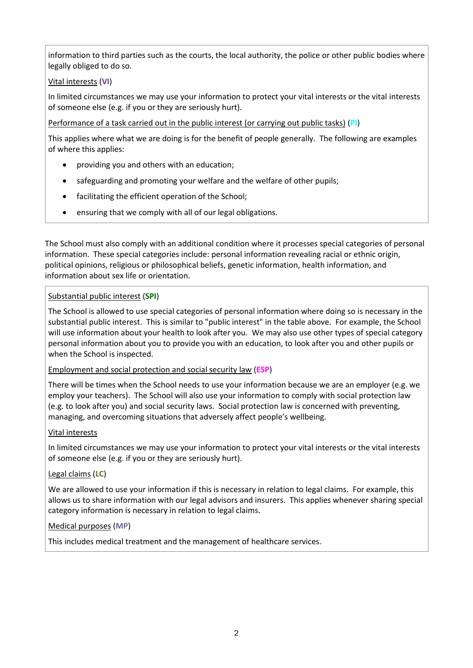information to third parties such as the courts, the local authority, the police or other public bodies where legally obliged to do so.

# Vital interests (**VI**)

In limited circumstances we may use your information to protect your vital interests or the vital interests of someone else (e.g. if you or they are seriously hurt).

Performance of a task carried out in the public interest (or carrying out public tasks) (**PI**)

This applies where what we are doing is for the benefit of people generally. The following are examples of where this applies:

- providing you and others with an education;
- safeguarding and promoting your welfare and the welfare of other pupils;
- facilitating the efficient operation of the School;
- ensuring that we comply with all of our legal obligations.

The School must also comply with an additional condition where it processes special categories of personal information. These special categories include: personal information revealing racial or ethnic origin, political opinions, religious or philosophical beliefs, genetic information, health information, and information about sex life or orientation.

# Substantial public interest (**SPI**)

The School is allowed to use special categories of personal information where doing so is necessary in the substantial public interest. This is similar to "public interest" in the table above. For example, the School will use information about your health to look after you. We may also use other types of special category personal information about you to provide you with an education, to look after you and other pupils or when the School is inspected.

#### Employment and social protection and social security law (**ESP**)

There will be times when the School needs to use your information because we are an employer (e.g. we employ your teachers). The School will also use your information to comply with social protection law (e.g. to look after you) and social security laws. Social protection law is concerned with preventing, managing, and overcoming situations that adversely affect people's wellbeing.

#### Vital interests

In limited circumstances we may use your information to protect your vital interests or the vital interests of someone else (e.g. if you or they are seriously hurt).

#### Legal claims (**LC**)

We are allowed to use your information if this is necessary in relation to legal claims. For example, this allows us to share information with our legal advisors and insurers. This applies whenever sharing special category information is necessary in relation to legal claims.

# Medical purposes (**MP**)

This includes medical treatment and the management of healthcare services.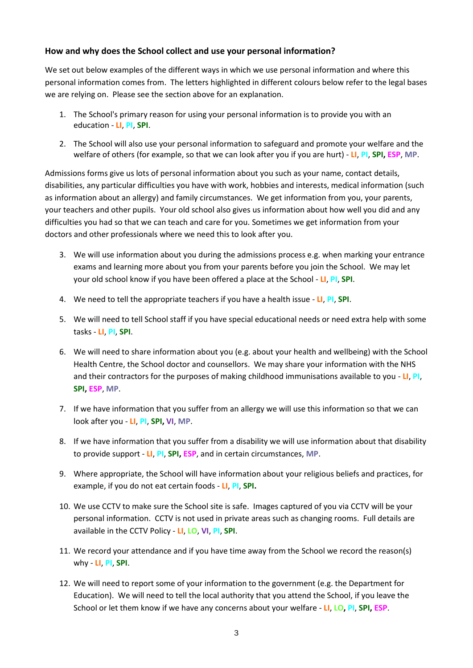#### **How and why does the School collect and use your personal information?**

We set out below examples of the different ways in which we use personal information and where this personal information comes from. The letters highlighted in different colours below refer to the legal bases we are relying on. Please see the section above for an explanation.

- 1. The School's primary reason for using your personal information is to provide you with an education - **LI**, **PI**, **SPI**.
- 2. The School will also use your personal information to safeguard and promote your welfare and the welfare of others (for example, so that we can look after you if you are hurt) - **LI**, **PI**, **SPI, ESP**, **MP**.

Admissions forms give us lots of personal information about you such as your name, contact details, disabilities, any particular difficulties you have with work, hobbies and interests, medical information (such as information about an allergy) and family circumstances. We get information from you, your parents, your teachers and other pupils. Your old school also gives us information about how well you did and any difficulties you had so that we can teach and care for you. Sometimes we get information from your doctors and other professionals where we need this to look after you.

- 3. We will use information about you during the admissions process e.g. when marking your entrance exams and learning more about you from your parents before you join the School. We may let your old school know if you have been offered a place at the School - **LI**, **PI**, **SPI**.
- 4. We need to tell the appropriate teachers if you have a health issue **LI**, **PI**, **SPI**.
- 5. We will need to tell School staff if you have special educational needs or need extra help with some tasks - **LI**, **PI**, **SPI**.
- 6. We will need to share information about you (e.g. about your health and wellbeing) with the School Health Centre, the School doctor and counsellors. We may share your information with the NHS and their contractors for the purposes of making childhood immunisations available to you - **LI**, **PI**, **SPI, ESP**, **MP**.
- 7. If we have information that you suffer from an allergy we will use this information so that we can look after you - **LI**, **PI**, **SPI, VI**, **MP**.
- 8. If we have information that you suffer from a disability we will use information about that disability to provide support - **LI**, **PI**, **SPI, ESP**, and in certain circumstances, **MP**.
- 9. Where appropriate, the School will have information about your religious beliefs and practices, for example, if you do not eat certain foods - **LI**, **PI**, **SPI.**
- 10. We use CCTV to make sure the School site is safe. Images captured of you via CCTV will be your personal information. CCTV is not used in private areas such as changing rooms. Full details are available in the CCTV Policy - **LI**, **LO**, **VI**, **PI**, **SPI**.
- 11. We record your attendance and if you have time away from the School we record the reason(s) why - **LI**, **PI**, **SPI**.
- 12. We will need to report some of your information to the government (e.g. the Department for Education). We will need to tell the local authority that you attend the School, if you leave the School or let them know if we have any concerns about your welfare - **LI**, **LO, PI**, **SPI, ESP**.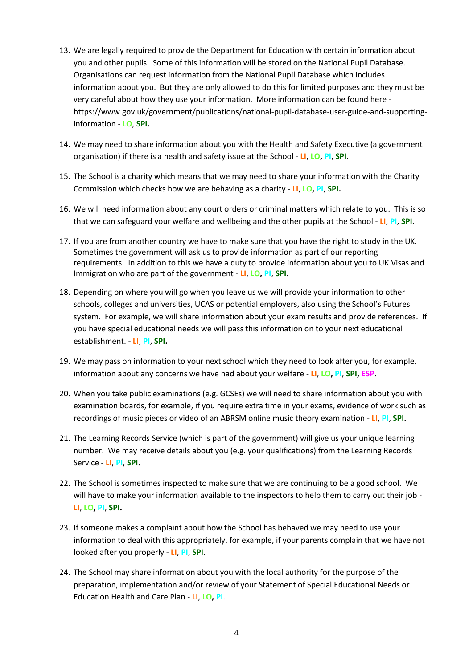- 13. We are legally required to provide the Department for Education with certain information about you and other pupils. Some of this information will be stored on the National Pupil Database. Organisations can request information from the National Pupil Database which includes information about you. But they are only allowed to do this for limited purposes and they must be very careful about how they use your information. More information can be found here [https://www.gov.uk/government/publications/national-pupil-database-user-guide-and-supporting](https://www.gov.uk/government/publications/national-pupil-database-user-guide-and-supporting-information)[information](https://www.gov.uk/government/publications/national-pupil-database-user-guide-and-supporting-information) - **LO**, **SPI.**
- 14. We may need to share information about you with the Health and Safety Executive (a government organisation) if there is a health and safety issue at the School - **LI**, **LO, PI**, **SPI**.
- 15. The School is a charity which means that we may need to share your information with the Charity Commission which checks how we are behaving as a charity - **LI**, **LO, PI**, **SPI.**
- 16. We will need information about any court orders or criminal matters which relate to you. This is so that we can safeguard your welfare and wellbeing and the other pupils at the School - **LI**, **PI**, **SPI.**
- 17. If you are from another country we have to make sure that you have the right to study in the UK. Sometimes the government will ask us to provide information as part of our reporting requirements. In addition to this we have a duty to provide information about you to UK Visas and Immigration who are part of the government - **LI**, **LO, PI**, **SPI.**
- 18. Depending on where you will go when you leave us we will provide your information to other schools, colleges and universities, UCAS or potential employers, also using the School's Futures system. For example, we will share information about your exam results and provide references. If you have special educational needs we will pass this information on to your next educational establishment. - **LI**, **PI**, **SPI.**
- 19. We may pass on information to your next school which they need to look after you, for example, information about any concerns we have had about your welfare - **LI**, **LO, PI**, **SPI, ESP**.
- 20. When you take public examinations (e.g. GCSEs) we will need to share information about you with examination boards, for example, if you require extra time in your exams, evidence of work such as recordings of music pieces or video of an ABRSM online music theory examination - **LI**, **PI**, **SPI.**
- 21. The Learning Records Service (which is part of the government) will give us your unique learning number. We may receive details about you (e.g. your qualifications) from the Learning Records Service - **LI**, **PI**, **SPI.**
- 22. The School is sometimes inspected to make sure that we are continuing to be a good school. We will have to make your information available to the inspectors to help them to carry out their job - **LI**, **LO, PI**, **SPI.**
- 23. If someone makes a complaint about how the School has behaved we may need to use your information to deal with this appropriately, for example, if your parents complain that we have not looked after you properly - **LI**, **PI**, **SPI.**
- 24. The School may share information about you with the local authority for the purpose of the preparation, implementation and/or review of your Statement of Special Educational Needs or Education Health and Care Plan - **LI**, **LO, PI**.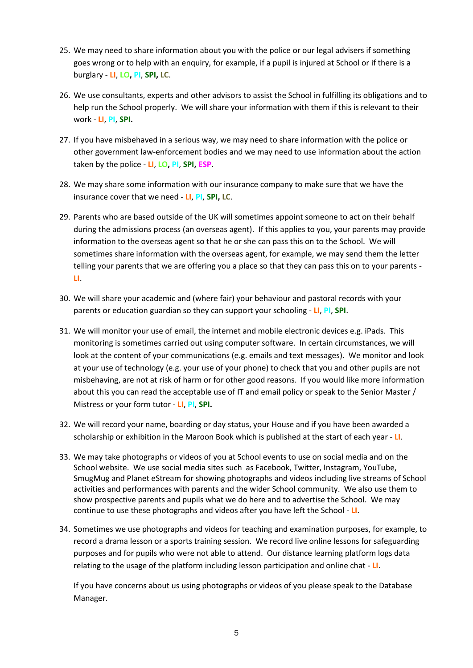- 25. We may need to share information about you with the police or our legal advisers if something goes wrong or to help with an enquiry, for example, if a pupil is injured at School or if there is a burglary - **LI**, **LO, PI**, **SPI, LC**.
- 26. We use consultants, experts and other advisors to assist the School in fulfilling its obligations and to help run the School properly. We will share your information with them if this is relevant to their work - **LI**, **PI**, **SPI.**
- 27. If you have misbehaved in a serious way, we may need to share information with the police or other government law-enforcement bodies and we may need to use information about the action taken by the police - **LI**, **LO, PI**, **SPI, ESP**.
- 28. We may share some information with our insurance company to make sure that we have the insurance cover that we need - **LI**, **PI**, **SPI, LC**.
- 29. Parents who are based outside of the UK will sometimes appoint someone to act on their behalf during the admissions process (an overseas agent). If this applies to you, your parents may provide information to the overseas agent so that he or she can pass this on to the School. We will sometimes share information with the overseas agent, for example, we may send them the letter telling your parents that we are offering you a place so that they can pass this on to your parents - **LI**.
- 30. We will share your academic and (where fair) your behaviour and pastoral records with your parents or education guardian so they can support your schooling - **LI**, **PI**, **SPI**.
- 31. We will monitor your use of email, the internet and mobile electronic devices e.g. iPads. This monitoring is sometimes carried out using computer software. In certain circumstances, we will look at the content of your communications (e.g. emails and text messages). We monitor and look at your use of technology (e.g. your use of your phone) to check that you and other pupils are not misbehaving, are not at risk of harm or for other good reasons. If you would like more information about this you can read the acceptable use of IT and email policy or speak to the Senior Master / Mistress or your form tutor - **LI**, **PI**, **SPI.**
- 32. We will record your name, boarding or day status, your House and if you have been awarded a scholarship or exhibition in the Maroon Book which is published at the start of each year - **LI**.
- 33. We may take photographs or videos of you at School events to use on social media and on the School website. We use social media sites such as Facebook, Twitter, Instagram, YouTube, SmugMug and Planet eStream for showing photographs and videos including live streams of School activities and performances with parents and the wider School community. We also use them to show prospective parents and pupils what we do here and to advertise the School. We may continue to use these photographs and videos after you have left the School - **LI**.
- 34. Sometimes we use photographs and videos for teaching and examination purposes, for example, to record a drama lesson or a sports training session. We record live online lessons for safeguarding purposes and for pupils who were not able to attend. Our distance learning platform logs data relating to the usage of the platform including lesson participation and online chat - **LI**.

If you have concerns about us using photographs or videos of you please speak to the Database Manager.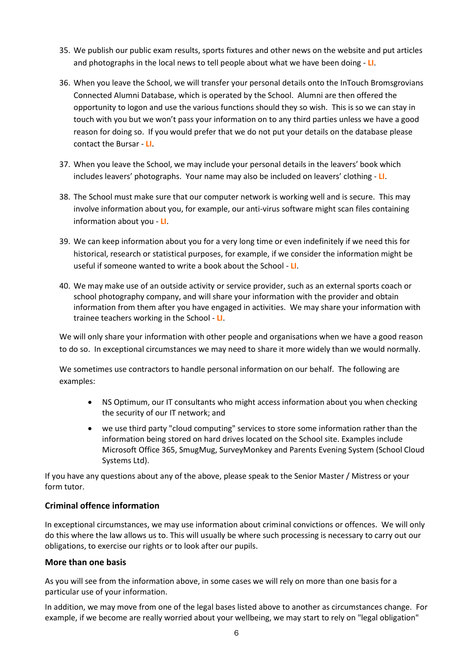- 35. We publish our public exam results, sports fixtures and other news on the website and put articles and photographs in the local news to tell people about what we have been doing - **LI**.
- 36. When you leave the School, we will transfer your personal details onto the InTouch Bromsgrovians Connected Alumni Database, which is operated by the School. Alumni are then offered the opportunity to logon and use the various functions should they so wish. This is so we can stay in touch with you but we won't pass your information on to any third parties unless we have a good reason for doing so. If you would prefer that we do not put your details on the database please contact the Bursar - **LI**.
- 37. When you leave the School, we may include your personal details in the leavers' book which includes leavers' photographs. Your name may also be included on leavers' clothing - **LI**.
- 38. The School must make sure that our computer network is working well and is secure. This may involve information about you, for example, our anti-virus software might scan files containing information about you - **LI**.
- 39. We can keep information about you for a very long time or even indefinitely if we need this for historical, research or statistical purposes, for example, if we consider the information might be useful if someone wanted to write a book about the School - **LI**.
- 40. We may make use of an outside activity or service provider, such as an external sports coach or school photography company, and will share your information with the provider and obtain information from them after you have engaged in activities. We may share your information with trainee teachers working in the School - **LI**.

We will only share your information with other people and organisations when we have a good reason to do so. In exceptional circumstances we may need to share it more widely than we would normally.

We sometimes use contractors to handle personal information on our behalf. The following are examples:

- NS Optimum, our IT consultants who might access information about you when checking the security of our IT network; and
- we use third party "cloud computing" services to store some information rather than the information being stored on hard drives located on the School site. Examples include Microsoft Office 365, SmugMug, SurveyMonkey and Parents Evening System (School Cloud Systems Ltd).

If you have any questions about any of the above, please speak to the Senior Master / Mistress or your form tutor.

#### **Criminal offence information**

In exceptional circumstances, we may use information about criminal convictions or offences. We will only do this where the law allows us to. This will usually be where such processing is necessary to carry out our obligations, to exercise our rights or to look after our pupils.

#### **More than one basis**

As you will see from the information above, in some cases we will rely on more than one basis for a particular use of your information.

In addition, we may move from one of the legal bases listed above to another as circumstances change. For example, if we become are really worried about your wellbeing, we may start to rely on "legal obligation"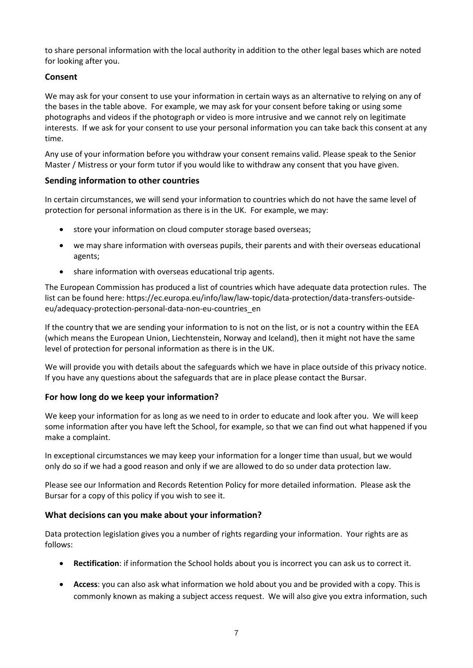to share personal information with the local authority in addition to the other legal bases which are noted for looking after you.

# **Consent**

We may ask for your consent to use your information in certain ways as an alternative to relying on any of the bases in the table above. For example, we may ask for your consent before taking or using some photographs and videos if the photograph or video is more intrusive and we cannot rely on legitimate interests. If we ask for your consent to use your personal information you can take back this consent at any time.

Any use of your information before you withdraw your consent remains valid. Please speak to the Senior Master / Mistress or your form tutor if you would like to withdraw any consent that you have given.

#### **Sending information to other countries**

In certain circumstances, we will send your information to countries which do not have the same level of protection for personal information as there is in the UK. For example, we may:

- store your information on cloud computer storage based overseas;
- we may share information with overseas pupils, their parents and with their overseas educational agents;
- share information with overseas educational trip agents.

The European Commission has produced a list of countries which have adequate data protection rules. The list can be found here: https://ec.europa.eu/info/law/law-topic/data-protection/data-transfers-outsideeu/adequacy-protection-personal-data-non-eu-countries\_en

If the country that we are sending your information to is not on the list, or is not a country within the EEA (which means the European Union, Liechtenstein, Norway and Iceland), then it might not have the same level of protection for personal information as there is in the UK.

We will provide you with details about the safeguards which we have in place outside of this privacy notice. If you have any questions about the safeguards that are in place please contact the Bursar.

#### **For how long do we keep your information?**

We keep your information for as long as we need to in order to educate and look after you. We will keep some information after you have left the School, for example, so that we can find out what happened if you make a complaint.

In exceptional circumstances we may keep your information for a longer time than usual, but we would only do so if we had a good reason and only if we are allowed to do so under data protection law.

Please see our Information and Records Retention Policy for more detailed information. Please ask the Bursar for a copy of this policy if you wish to see it.

#### **What decisions can you make about your information?**

Data protection legislation gives you a number of rights regarding your information. Your rights are as follows:

- **Rectification**: if information the School holds about you is incorrect you can ask us to correct it.
- **Access**: you can also ask what information we hold about you and be provided with a copy. This is commonly known as making a subject access request. We will also give you extra information, such